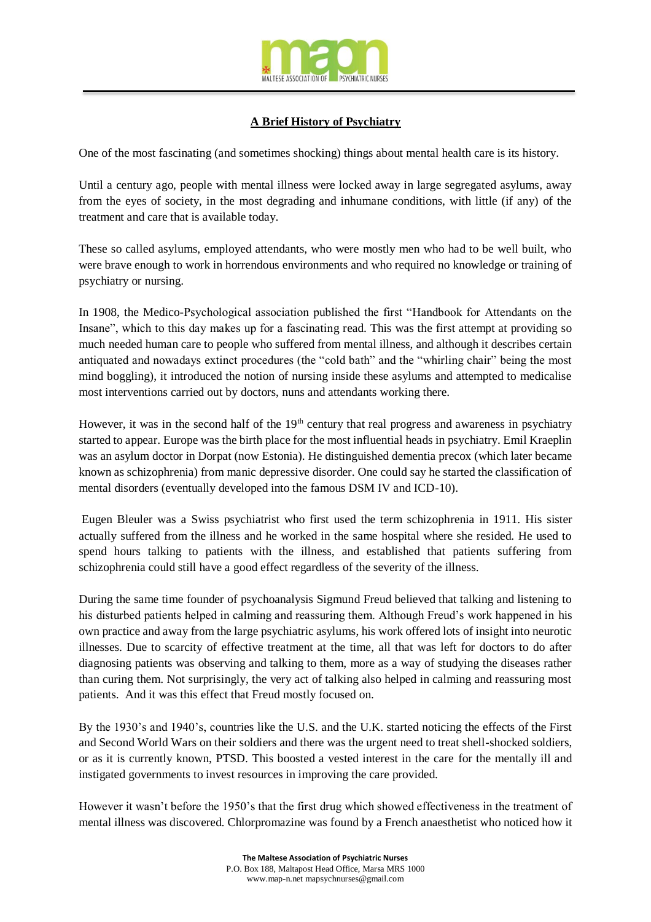

## **A Brief History of Psychiatry**

One of the most fascinating (and sometimes shocking) things about mental health care is its history.

Until a century ago, people with mental illness were locked away in large segregated asylums, away from the eyes of society, in the most degrading and inhumane conditions, with little (if any) of the treatment and care that is available today.

These so called asylums, employed attendants, who were mostly men who had to be well built, who were brave enough to work in horrendous environments and who required no knowledge or training of psychiatry or nursing.

In 1908, the Medico-Psychological association published the first "Handbook for Attendants on the Insane", which to this day makes up for a fascinating read. This was the first attempt at providing so much needed human care to people who suffered from mental illness, and although it describes certain antiquated and nowadays extinct procedures (the "cold bath" and the "whirling chair" being the most mind boggling), it introduced the notion of nursing inside these asylums and attempted to medicalise most interventions carried out by doctors, nuns and attendants working there.

However, it was in the second half of the  $19<sup>th</sup>$  century that real progress and awareness in psychiatry started to appear. Europe was the birth place for the most influential heads in psychiatry. Emil Kraeplin was an asylum doctor in Dorpat (now Estonia). He distinguished dementia precox (which later became known as schizophrenia) from manic depressive disorder. One could say he started the classification of mental disorders (eventually developed into the famous DSM IV and ICD-10).

Eugen Bleuler was a Swiss psychiatrist who first used the term schizophrenia in 1911. His sister actually suffered from the illness and he worked in the same hospital where she resided. He used to spend hours talking to patients with the illness, and established that patients suffering from schizophrenia could still have a good effect regardless of the severity of the illness.

During the same time founder of psychoanalysis Sigmund Freud believed that talking and listening to his disturbed patients helped in calming and reassuring them. Although Freud's work happened in his own practice and away from the large psychiatric asylums, his work offered lots of insight into neurotic illnesses. Due to scarcity of effective treatment at the time, all that was left for doctors to do after diagnosing patients was observing and talking to them, more as a way of studying the diseases rather than curing them. Not surprisingly, the very act of talking also helped in calming and reassuring most patients. And it was this effect that Freud mostly focused on.

By the 1930's and 1940's, countries like the U.S. and the U.K. started noticing the effects of the First and Second World Wars on their soldiers and there was the urgent need to treat shell-shocked soldiers, or as it is currently known, PTSD. This boosted a vested interest in the care for the mentally ill and instigated governments to invest resources in improving the care provided.

However it wasn't before the 1950's that the first drug which showed effectiveness in the treatment of mental illness was discovered. Chlorpromazine was found by a French anaesthetist who noticed how it